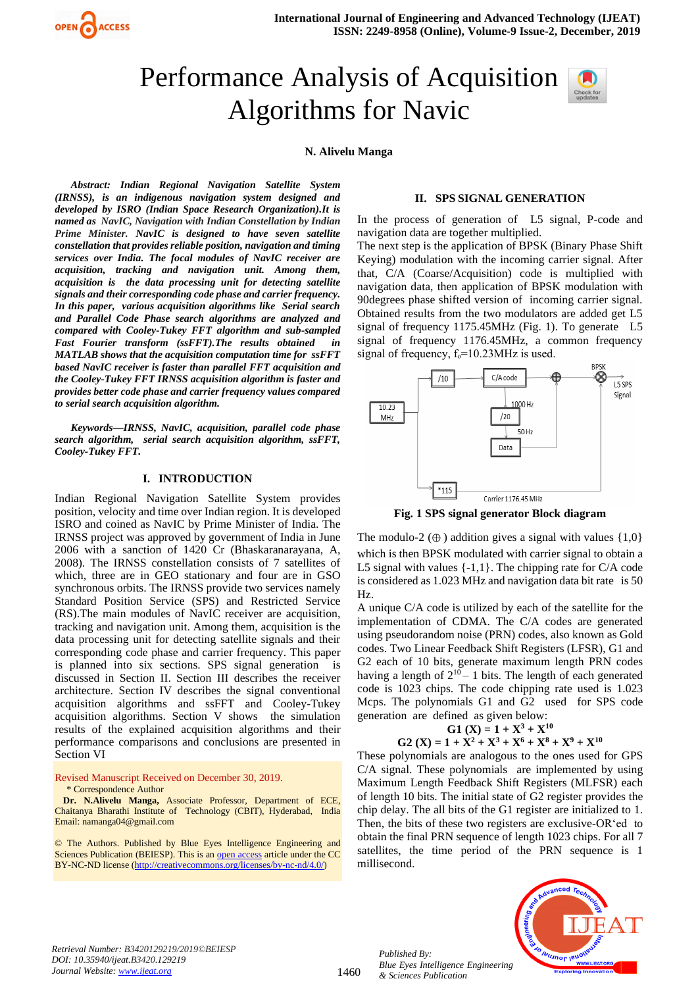

# Performance Analysis of Acquisition Algorithms for Navic



#### **N. Alivelu Manga**

*Abstract: Indian Regional Navigation Satellite System (IRNSS), is an indigenous navigation system designed and developed by ISRO (Indian Space Research Organization).It is named as NavIC, Navigation with Indian Constellation by Indian Prime Minister. NavIC is designed to have seven satellite constellation that provides reliable position, navigation and timing services over India. The focal modules of NavIC receiver are acquisition, tracking and navigation unit. Among them, acquisition is the data processing unit for detecting satellite signals and their corresponding code phase and carrier frequency. In this paper, various acquisition algorithms like Serial search and Parallel Code Phase search algorithms are analyzed and compared with Cooley-Tukey FFT algorithm and sub-sampled Fast Fourier transform (ssFFT).The results obtained in MATLAB shows that the acquisition computation time for ssFFT based NavIC receiver is faster than parallel FFT acquisition and the Cooley-Tukey FFT IRNSS acquisition algorithm is faster and provides better code phase and carrier frequency values compared to serial search acquisition algorithm.*

*Keywords—IRNSS, NavIC, acquisition, parallel code phase search algorithm, serial search acquisition algorithm, ssFFT, Cooley-Tukey FFT.*

#### **I. INTRODUCTION**

Indian Regional Navigation Satellite System provides position, velocity and time over Indian region. It is developed ISRO and coined as NavIC by Prime Minister of India. The IRNSS project was approved by government of India in June 2006 with a sanction of 1420 Cr (Bhaskaranarayana, A, 2008). The IRNSS constellation consists of 7 satellites of which, three are in GEO stationary and four are in GSO synchronous orbits. The IRNSS provide two services namely Standard Position Service (SPS) and Restricted Service (RS).The main modules of NavIC receiver are acquisition, tracking and navigation unit. Among them, acquisition is the data processing unit for detecting satellite signals and their corresponding code phase and carrier frequency. This paper is planned into six sections. SPS signal generation is discussed in Section II. Section III describes the receiver architecture. Section IV describes the signal conventional acquisition algorithms and ssFFT and Cooley-Tukey acquisition algorithms. Section V shows the simulation results of the explained acquisition algorithms and their performance comparisons and conclusions are presented in Section VI

Revised Manuscript Received on December 30, 2019.

\* Correspondence Author

**Dr. N.Alivelu Manga,** Associate Professor, Department of ECE, Chaitanya Bharathi Institute of Technology (CBIT), Hyderabad, India Email: namanga04@gmail.com

© The Authors. Published by Blue Eyes Intelligence Engineering and Sciences Publication (BEIESP). This is a[n open access](https://www.openaccess.nl/en/open-publications) article under the CC BY-NC-ND license [\(http://creativecommons.org/licenses/by-nc-nd/4.0/\)](http://creativecommons.org/licenses/by-nc-nd/4.0/)

#### **II. SPS SIGNAL GENERATION**

In the process of generation of L5 signal, P-code and navigation data are together multiplied.

The next step is the application of BPSK (Binary Phase Shift Keying) modulation with the incoming carrier signal. After that, C/A (Coarse/Acquisition) code is multiplied with navigation data, then application of BPSK modulation with 90degrees phase shifted version of incoming carrier signal. Obtained results from the two modulators are added get L5 signal of frequency 1175.45MHz (Fig. 1). To generate L5 signal of frequency 1176.45MHz, a common frequency signal of frequency,  $f_0 = 10.23 \text{MHz}$  is used.



**Fig. 1 SPS signal generator Block diagram**

The modulo-2  $(\oplus)$  addition gives a signal with values {1,0} which is then BPSK modulated with carrier signal to obtain a L5 signal with values  $\{-1,1\}$ . The chipping rate for C/A code is considered as 1.023 MHz and navigation data bit rate is 50 Hz.

A unique C/A code is utilized by each of the satellite for the implementation of CDMA. The C/A codes are generated using pseudorandom noise (PRN) codes, also known as Gold codes. Two Linear Feedback Shift Registers (LFSR), G1 and G2 each of 10 bits, generate maximum length PRN codes having a length of  $2^{10} - 1$  bits. The length of each generated code is 1023 chips. The code chipping rate used is 1.023 Mcps. The polynomials G1 and G2 used for SPS code generation are defined as given below:

$$
G1 (X) = 1 + X3 + X10
$$
  
G2 (X) = 1 + X<sup>2</sup> + X<sup>3</sup> + X<sup>6</sup> + X<sup>8</sup> + X<sup>9</sup> + X<sup>10</sup>

These polynomials are analogous to the ones used for GPS C/A signal. These polynomials are implemented by using Maximum Length Feedback Shift Registers (MLFSR) each of length 10 bits. The initial state of G2 register provides the chip delay. The all bits of the G1 register are initialized to 1. Then, the bits of these two registers are exclusive-OR'ed to obtain the final PRN sequence of length 1023 chips. For all 7 satellites, the time period of the PRN sequence is 1 millisecond.

*Retrieval Number: B3420129219/2019©BEIESP DOI: 10.35940/ijeat.B3420.129219 Journal Website[: www.ijeat.org](http://www.ijeat.org/)*

1460

*Published By: Blue Eyes Intelligence Engineering & Sciences Publication* 

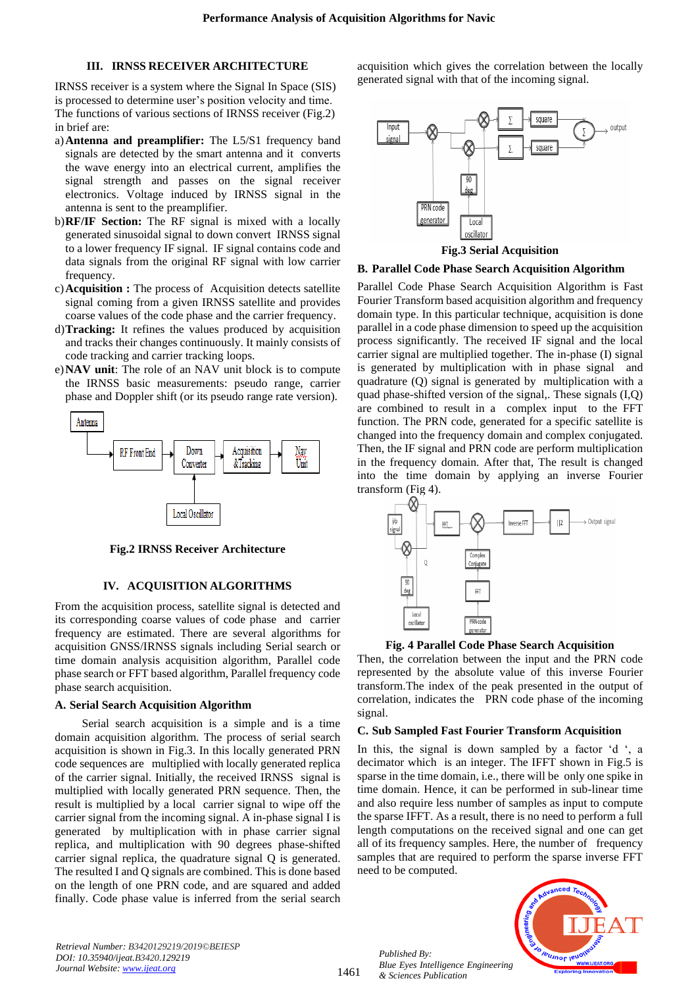## **III. IRNSS RECEIVER ARCHITECTURE**

IRNSS receiver is a system where the Signal In Space (SIS) is processed to determine user's position velocity and time. The functions of various sections of IRNSS receiver (Fig.2) in brief are:

- a)**Antenna and preamplifier:** The L5/S1 frequency band signals are detected by the smart antenna and it converts the wave energy into an electrical current, amplifies the signal strength and passes on the signal receiver electronics. Voltage induced by IRNSS signal in the antenna is sent to the preamplifier.
- b)**RF/IF Section:** The RF signal is mixed with a locally generated sinusoidal signal to down convert IRNSS signal to a lower frequency IF signal. IF signal contains code and data signals from the original RF signal with low carrier frequency.
- c)**Acquisition :** The process of Acquisition detects satellite signal coming from a given IRNSS satellite and provides coarse values of the code phase and the carrier frequency.
- d)**Tracking:** It refines the values produced by acquisition and tracks their changes continuously. It mainly consists of code tracking and carrier tracking loops.
- e)**NAV unit**: The role of an NAV unit block is to compute the IRNSS basic measurements: pseudo range, carrier phase and Doppler shift (or its pseudo range rate version).



**Fig.2 IRNSS Receiver Architecture**

## **IV. ACQUISITION ALGORITHMS**

From the acquisition process, satellite signal is detected and its corresponding coarse values of code phase and carrier frequency are estimated. There are several algorithms for acquisition GNSS/IRNSS signals including Serial search or time domain analysis acquisition algorithm, Parallel code phase search or FFT based algorithm, Parallel frequency code phase search acquisition.

## **A. Serial Search Acquisition Algorithm**

Serial search acquisition is a simple and is a time domain acquisition algorithm. The process of serial search acquisition is shown in Fig.3. In this locally generated PRN code sequences are multiplied with locally generated replica of the carrier signal. Initially, the received IRNSS signal is multiplied with locally generated PRN sequence. Then, the result is multiplied by a local carrier signal to wipe off the carrier signal from the incoming signal. A in-phase signal I is generated by multiplication with in phase carrier signal replica, and multiplication with 90 degrees phase-shifted carrier signal replica, the quadrature signal Q is generated. The resulted I and Q signals are combined. This is done based on the length of one PRN code, and are squared and added finally. Code phase value is inferred from the serial search acquisition which gives the correlation between the locally generated signal with that of the incoming signal.



**Fig.3 Serial Acquisition**

## **B. Parallel Code Phase Search Acquisition Algorithm**

Parallel Code Phase Search Acquisition Algorithm is Fast Fourier Transform based acquisition algorithm and frequency domain type. In this particular technique, acquisition is done parallel in a code phase dimension to speed up the acquisition process significantly. The received IF signal and the local carrier signal are multiplied together. The in-phase (I) signal is generated by multiplication with in phase signal and quadrature (Q) signal is generated by multiplication with a quad phase-shifted version of the signal,. These signals (I,Q) are combined to result in a complex input to the FFT function. The PRN code, generated for a specific satellite is changed into the frequency domain and complex conjugated. Then, the IF signal and PRN code are perform multiplication in the frequency domain. After that, The result is changed into the time domain by applying an inverse Fourier transform (Fig 4).





Then, the correlation between the input and the PRN code represented by the absolute value of this inverse Fourier transform.The index of the peak presented in the output of correlation, indicates the PRN code phase of the incoming signal.

## **C. Sub Sampled Fast Fourier Transform Acquisition**

In this, the signal is down sampled by a factor 'd ', a decimator which is an integer. The IFFT shown in Fig.5 is sparse in the time domain, i.e., there will be only one spike in time domain. Hence, it can be performed in sub-linear time and also require less number of samples as input to compute the sparse IFFT. As a result, there is no need to perform a full length computations on the received signal and one can get all of its frequency samples. Here, the number of frequency samples that are required to perform the sparse inverse FFT need to be computed.



*Published By: Blue Eyes Intelligence Engineering & Sciences Publication* 

1461

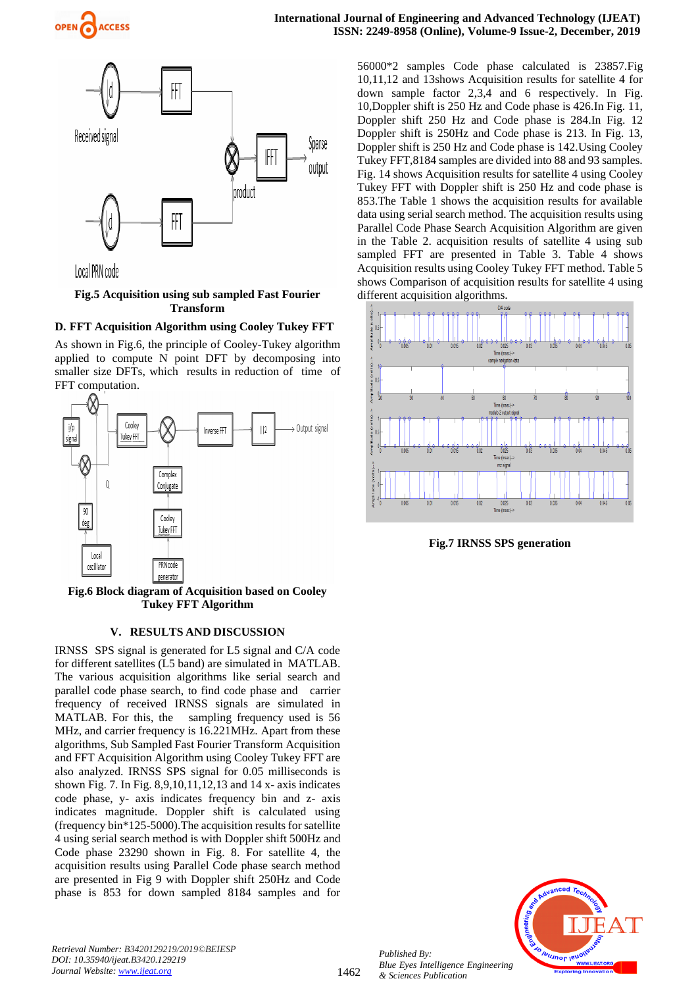



# **Fig.5 Acquisition using sub sampled Fast Fourier Transform**

# **D. FFT Acquisition Algorithm using Cooley Tukey FFT**

As shown in Fig.6, the principle of Cooley-Tukey algorithm applied to compute N point DFT by decomposing into smaller size DFTs, which results in reduction of time of FFT computation.



**Fig.6 Block diagram of Acquisition based on Cooley Tukey FFT Algorithm**

## **V. RESULTS AND DISCUSSION**

IRNSS SPS signal is generated for L5 signal and C/A code for different satellites (L5 band) are simulated in MATLAB. The various acquisition algorithms like serial search and parallel code phase search, to find code phase and carrier frequency of received IRNSS signals are simulated in MATLAB. For this, the sampling frequency used is 56 MHz, and carrier frequency is 16.221MHz. Apart from these algorithms, Sub Sampled Fast Fourier Transform Acquisition and FFT Acquisition Algorithm using Cooley Tukey FFT are also analyzed. IRNSS SPS signal for 0.05 milliseconds is shown Fig. 7. In Fig. 8,9,10,11,12,13 and 14 x- axis indicates code phase, y- axis indicates frequency bin and z- axis indicates magnitude. Doppler shift is calculated using (frequency bin\*125-5000).The acquisition results for satellite 4 using serial search method is with Doppler shift 500Hz and Code phase 23290 shown in Fig. 8. For satellite 4, the acquisition results using Parallel Code phase search method are presented in Fig 9 with Doppler shift 250Hz and Code phase is 853 for down sampled 8184 samples and for

56000\*2 samples Code phase calculated is 23857.Fig 10,11,12 and 13shows Acquisition results for satellite 4 for down sample factor 2,3,4 and 6 respectively. In Fig. 10,Doppler shift is 250 Hz and Code phase is 426.In Fig. 11, Doppler shift 250 Hz and Code phase is 284.In Fig. 12 Doppler shift is 250Hz and Code phase is 213. In Fig. 13, Doppler shift is 250 Hz and Code phase is 142.Using Cooley Tukey FFT,8184 samples are divided into 88 and 93 samples. Fig. 14 shows Acquisition results for satellite 4 using Cooley Tukey FFT with Doppler shift is 250 Hz and code phase is 853.The Table 1 shows the acquisition results for available data using serial search method. The acquisition results using Parallel Code Phase Search Acquisition Algorithm are given in the Table 2. acquisition results of satellite 4 using sub sampled FFT are presented in Table 3. Table 4 shows Acquisition results using Cooley Tukey FFT method. Table 5 shows Comparison of acquisition results for satellite 4 using different acquisition algorithms.



**Fig.7 IRNSS SPS generation**



*Retrieval Number: B3420129219/2019©BEIESP DOI: 10.35940/ijeat.B3420.129219 Journal Website[: www.ijeat.org](http://www.ijeat.org/)*

*Published By:*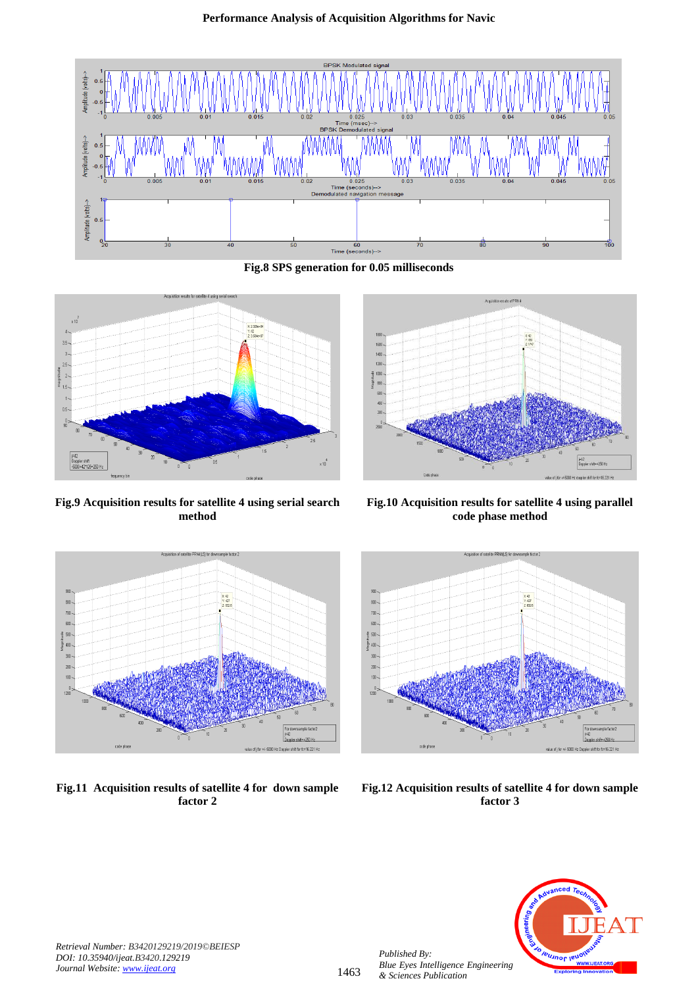

**Fig.8 SPS generation for 0.05 milliseconds**



**Fig.9 Acquisition results for satellite 4 using serial search method**



**Fig.10 Acquisition results for satellite 4 using parallel code phase method**



**Fig.11 Acquisition results of satellite 4 for down sample factor 2**



**Fig.12 Acquisition results of satellite 4 for down sample factor 3**



*Retrieval Number: B3420129219/2019©BEIESP DOI: 10.35940/ijeat.B3420.129219 Journal Website[: www.ijeat.org](http://www.ijeat.org/)*

*Published By:*

*& Sciences Publication*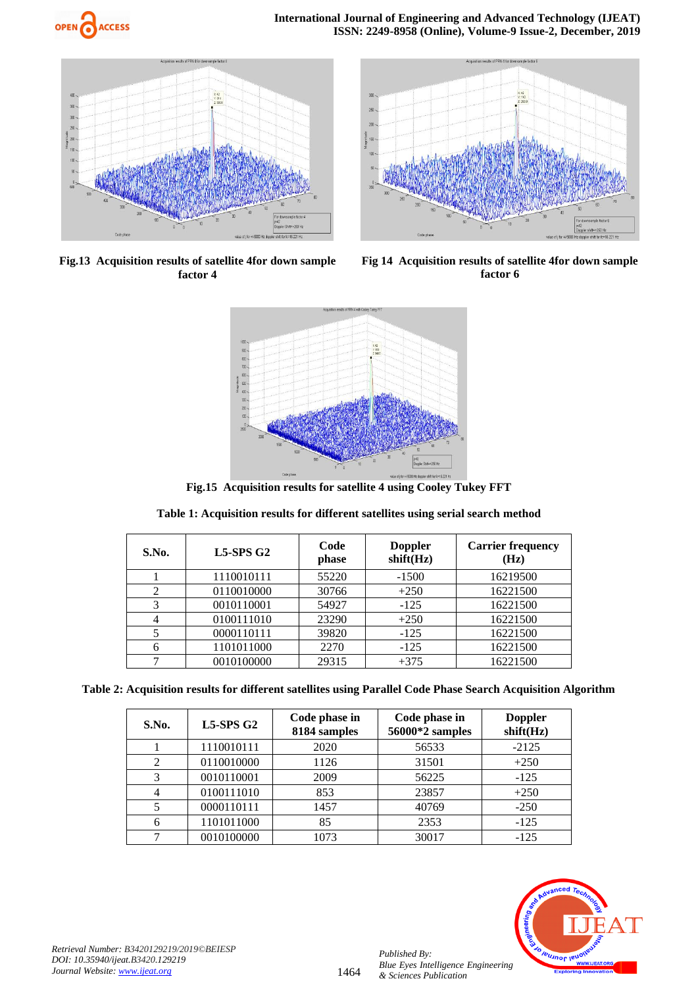



**Fig.13 Acquisition results of satellite 4for down sample factor 4**



**Fig 14 Acquisition results of satellite 4for down sample factor 6**



**Fig.15 Acquisition results for satellite 4 using Cooley Tukey FFT** 

## **Table 1: Acquisition results for different satellites using serial search method**

| S.No. | $L5-SPSG2$ | Code<br>phase | <b>Doppler</b><br>shift(Hz) | <b>Carrier frequency</b><br>(Hz) |
|-------|------------|---------------|-----------------------------|----------------------------------|
|       | 1110010111 | 55220         | $-1500$                     | 16219500                         |
|       | 0110010000 | 30766         | $+250$                      | 16221500                         |
| 3     | 0010110001 | 54927         | $-125$                      | 16221500                         |
|       | 0100111010 | 23290         | $+250$                      | 16221500                         |
|       | 0000110111 | 39820         | $-125$                      | 16221500                         |
|       | 1101011000 | 2270          | $-125$                      | 16221500                         |
|       | 0010100000 | 29315         | $+375$                      | 16221500                         |

**Table 2: Acquisition results for different satellites using Parallel Code Phase Search Acquisition Algorithm**

| S.No. | $L5-SPSG2$ | Code phase in<br>8184 samples | Code phase in<br>56000*2 samples | <b>Doppler</b><br>shift(Hz) |  |
|-------|------------|-------------------------------|----------------------------------|-----------------------------|--|
|       | 1110010111 | 2020                          | 56533                            | $-2125$                     |  |
|       | 0110010000 | 1126                          | 31501                            | $+250$                      |  |
| 3     | 0010110001 | 2009                          | 56225                            | $-125$                      |  |
|       | 0100111010 | 853                           | 23857                            | $+250$                      |  |
|       | 0000110111 | 1457                          | 40769                            | $-250$                      |  |
|       | 1101011000 | 85                            | 2353                             | $-125$                      |  |
|       | 0010100000 | 1073                          | 30017                            | $-125$                      |  |

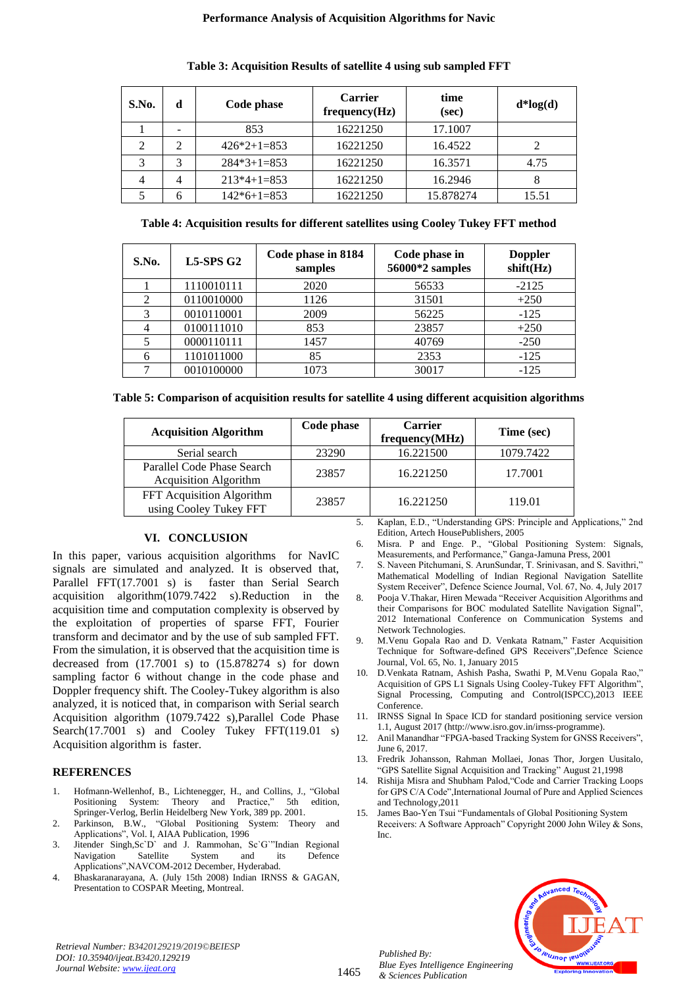| S.No.                       | d             | Code phase    | <b>Carrier</b><br>frequency(Hz) | time<br>(sec) | $d * log(d)$ |
|-----------------------------|---------------|---------------|---------------------------------|---------------|--------------|
|                             |               | 853           | 16221250                        | 17.1007       |              |
| $\mathcal{D}_{\mathcal{L}}$ | $\mathcal{L}$ | $426*2+1=853$ | 16221250                        | 16.4522       | 2            |
|                             | 3             | $284*3+1=853$ | 16221250                        | 16.3571       | 4.75         |
| 4                           | 4             | $213*4+1=853$ | 16221250                        | 16.2946       | 8            |
|                             |               | $142*6+1=853$ | 16221250                        | 15.878274     | 15.51        |

**Table 3: Acquisition Results of satellite 4 using sub sampled FFT**

| Table 4: Acquisition results for different satellites using Cooley Tukey FFT method |  |  |  |  |
|-------------------------------------------------------------------------------------|--|--|--|--|
|-------------------------------------------------------------------------------------|--|--|--|--|

| S.No.                       | $L5-SPSG2$ | Code phase in 8184<br>samples | Code phase in<br>56000*2 samples | <b>Doppler</b><br>shift(Hz) |
|-----------------------------|------------|-------------------------------|----------------------------------|-----------------------------|
|                             | 1110010111 | 2020                          | 56533                            | $-2125$                     |
| $\mathcal{D}_{\mathcal{L}}$ | 0110010000 | 1126                          | 31501                            | $+250$                      |
| 3                           | 0010110001 | 2009                          | 56225                            | $-125$                      |
|                             | 0100111010 | 853                           | 23857                            | $+250$                      |
|                             | 0000110111 | 1457                          | 40769                            | $-250$                      |
| 6                           | 1101011000 | 85                            | 2353                             | $-125$                      |
|                             | 0010100000 | 1073                          | 30017                            | $-125$                      |

|  | Table 5: Comparison of acquisition results for satellite 4 using different acquisition algorithms |  |  |  |
|--|---------------------------------------------------------------------------------------------------|--|--|--|
|  |                                                                                                   |  |  |  |

| <b>Acquisition Algorithm</b>                               | Code phase | <b>Carrier</b><br>frequency(MHz) | Time (sec) |
|------------------------------------------------------------|------------|----------------------------------|------------|
| Serial search                                              | 23290      | 16.221500                        | 1079.7422  |
| Parallel Code Phase Search<br><b>Acquisition Algorithm</b> | 23857      | 16.221250                        | 17.7001    |
| FFT Acquisition Algorithm<br>using Cooley Tukey FFT        | 23857      | 16.221250                        | 119.01     |

## **VI. CONCLUSION**

In this paper, various acquisition algorithms for NavIC signals are simulated and analyzed. It is observed that, Parallel FFT(17.7001 s) is faster than Serial Search acquisition algorithm(1079.7422 s).Reduction in the acquisition time and computation complexity is observed by the exploitation of properties of sparse FFT, Fourier transform and decimator and by the use of sub sampled FFT. From the simulation, it is observed that the acquisition time is decreased from (17.7001 s) to (15.878274 s) for down sampling factor 6 without change in the code phase and Doppler frequency shift. The Cooley-Tukey algorithm is also analyzed, it is noticed that, in comparison with Serial search Acquisition algorithm (1079.7422 s),Parallel Code Phase Search(17.7001 s) and Cooley Tukey FFT(119.01 s) Acquisition algorithm is faster.

## **REFERENCES**

- 1. Hofmann-Wellenhof, B., Lichtenegger, H., and Collins, J., "Global Positioning System: Theory and Practice," 5th edition, Springer-Verlog, Berlin Heidelberg New York, 389 pp. 2001.
- 2. Parkinson, B.W., "Global Positioning System: Theory and Applications", Vol. I, AIAA Publication, 1996
- 3. Jitender Singh,Sc`D` and J. Rammohan, Sc`G`"Indian Regional<br>Navigation Satellite System and its Defence Navigation Satellite System and its Defence Applications",NAVCOM-2012 December, Hyderabad.
- 4. Bhaskaranarayana, A. (July 15th 2008) Indian IRNSS & GAGAN, Presentation to COSPAR Meeting, Montreal.

5. Kaplan, E.D., "Understanding GPS: Principle and Applications," 2nd Edition, Artech HousePublishers, 2005

- 6. Misra. P and Enge. P., "Global Positioning System: Signals, Measurements, and Performance," Ganga-Jamuna Press, 2001
- 7. S. Naveen Pitchumani, S. ArunSundar, T. Srinivasan, and S. Savithri," Mathematical Modelling of Indian Regional Navigation Satellite System Receiver", Defence Science Journal, Vol. 67, No. 4, July 2017
- 8. Pooja V.Thakar, Hiren Mewada "Receiver Acquisition Algorithms and their Comparisons for BOC modulated Satellite Navigation Signal", 2012 International Conference on Communication Systems and Network Technologies.
- 9. M.Venu Gopala Rao and D. Venkata Ratnam," Faster Acquisition Technique for Software-defined GPS Receivers",Defence Science Journal, Vol. 65, No. 1, January 2015
- 10. D.Venkata Ratnam, Ashish Pasha, Swathi P, M.Venu Gopala Rao," Acquisition of GPS L1 Signals Using Cooley-Tukey FFT Algorithm", Signal Processing, Computing and Control(ISPCC),2013 IEEE Conference.
- 11. IRNSS Signal In Space ICD for standard positioning service version 1.1, August 2017 [\(http://www.isro.gov.in/irnss-programme\)](http://www.isro.gov.in/irnss-programme).
- 12. Anil Manandhar "FPGA-based Tracking System for GNSS Receivers", June 6, 2017.
- 13. Fredrik Johansson, Rahman Mollaei, Jonas Thor, Jorgen Uusitalo, "GPS Satellite Signal Acquisition and Tracking" August 21,1998
- 14. Rishija Misra and Shubham Palod,"Code and Carrier Tracking Loops for GPS C/A Code", International Journal of Pure and Applied Sciences and Technology,2011
- 15. James Bao-Yen Tsui "Fundamentals of Global Positioning System Receivers: A Software Approach" Copyright 2000 John Wiley & Sons, Inc.



*Retrieval Number: B3420129219/2019©BEIESP DOI: 10.35940/ijeat.B3420.129219 Journal Website[: www.ijeat.org](http://www.ijeat.org/)*

1465

*Published By: Blue Eyes Intelligence Engineering & Sciences Publication*